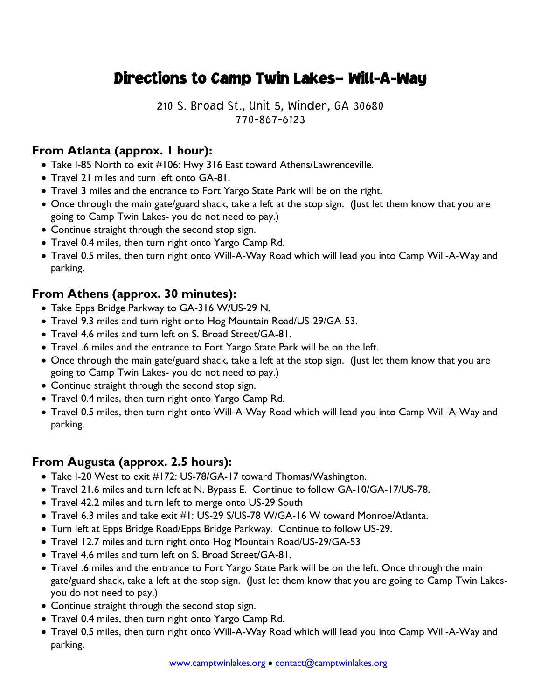## Directions to Camp Twin Lakes– Will-A-Way

210 S. Broad St., Unit 5, Winder, GA 30680 770-867-6123

## **From Atlanta (approx. 1 hour):**

- Take I-85 North to exit #106: Hwy 316 East toward Athens/Lawrenceville.
- Travel 21 miles and turn left onto GA-81.
- Travel 3 miles and the entrance to Fort Yargo State Park will be on the right.
- Once through the main gate/guard shack, take a left at the stop sign. (Just let them know that you are going to Camp Twin Lakes- you do not need to pay.)
- Continue straight through the second stop sign.
- Travel 0.4 miles, then turn right onto Yargo Camp Rd.
- Travel 0.5 miles, then turn right onto Will-A-Way Road which will lead you into Camp Will-A-Way and parking.

## **From Athens (approx. 30 minutes):**

- Take Epps Bridge Parkway to GA-316 W/US-29 N.
- Travel 9.3 miles and turn right onto Hog Mountain Road/US-29/GA-53.
- Travel 4.6 miles and turn left on S. Broad Street/GA-81.
- Travel .6 miles and the entrance to Fort Yargo State Park will be on the left.
- Once through the main gate/guard shack, take a left at the stop sign. (Just let them know that you are going to Camp Twin Lakes- you do not need to pay.)
- Continue straight through the second stop sign.
- Travel 0.4 miles, then turn right onto Yargo Camp Rd.
- Travel 0.5 miles, then turn right onto Will-A-Way Road which will lead you into Camp Will-A-Way and parking.

## **From Augusta (approx. 2.5 hours):**

- Take I-20 West to exit #172: US-78/GA-17 toward Thomas/Washington.
- Travel 21.6 miles and turn left at N. Bypass E. Continue to follow GA-10/GA-17/US-78.
- Travel 42.2 miles and turn left to merge onto US-29 South
- Travel 6.3 miles and take exit #1: US-29 S/US-78 W/GA-16 W toward Monroe/Atlanta.
- Turn left at Epps Bridge Road/Epps Bridge Parkway. Continue to follow US-29.
- Travel 12.7 miles and turn right onto Hog Mountain Road/US-29/GA-53
- Travel 4.6 miles and turn left on S. Broad Street/GA-81.
- Travel .6 miles and the entrance to Fort Yargo State Park will be on the left. Once through the main gate/guard shack, take a left at the stop sign. (Just let them know that you are going to Camp Twin Lakesyou do not need to pay.)
- Continue straight through the second stop sign.
- Travel 0.4 miles, then turn right onto Yargo Camp Rd.
- Travel 0.5 miles, then turn right onto Will-A-Way Road which will lead you into Camp Will-A-Way and parking.